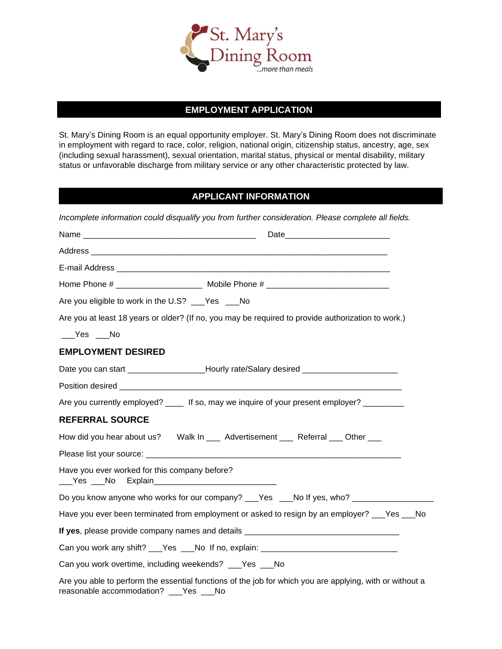

## **EMPLOYMENT APPLICATION**

St. Mary's Dining Room is an equal opportunity employer. St. Mary's Dining Room does not discriminate in employment with regard to race, color, religion, national origin, citizenship status, ancestry, age, sex (including sexual harassment), sexual orientation, marital status, physical or mental disability, military status or unfavorable discharge from military service or any other characteristic protected by law.

## **APPLICANT INFORMATION**

| Incomplete information could disqualify you from further consideration. Please complete all fields.                                                |
|----------------------------------------------------------------------------------------------------------------------------------------------------|
|                                                                                                                                                    |
|                                                                                                                                                    |
|                                                                                                                                                    |
| Home Phone # ______________________ Mobile Phone # _____________________________                                                                   |
| Are you eligible to work in the U.S? ___Yes ___No                                                                                                  |
| Are you at least 18 years or older? (If no, you may be required to provide authorization to work.)                                                 |
| $Yes$ Mo                                                                                                                                           |
| <b>EMPLOYMENT DESIRED</b>                                                                                                                          |
| Date you can start ____________________Hourly rate/Salary desired _____________________                                                            |
|                                                                                                                                                    |
| Are you currently employed? _____ If so, may we inquire of your present employer? _________                                                        |
| <b>REFERRAL SOURCE</b>                                                                                                                             |
| How did you hear about us? Walk In ___ Advertisement ___ Referral ___ Other ___                                                                    |
|                                                                                                                                                    |
| Have you ever worked for this company before?<br>___Yes ___No                                                                                      |
| Do you know anyone who works for our company? ___Yes ___No If yes, who? _______________                                                            |
| Have you ever been terminated from employment or asked to resign by an employer? ___Yes ___No                                                      |
| If yes, please provide company names and details _______________________________                                                                   |
| Can you work any shift? ___Yes ___No If no, explain: ___________________________                                                                   |
| Can you work overtime, including weekends? ___Yes ___No                                                                                            |
| Are you able to perform the essential functions of the job for which you are applying, with or without a<br>reasonable accommodation? ___Yes ___No |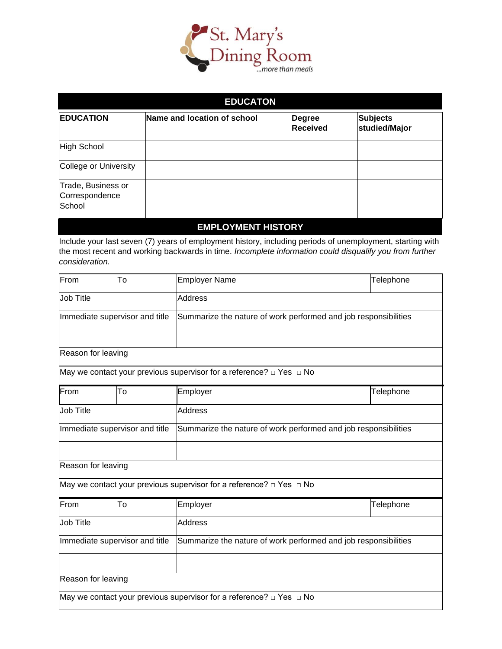

| <b>EDUCATON</b>                                |                             |                                  |                                  |  |  |  |
|------------------------------------------------|-----------------------------|----------------------------------|----------------------------------|--|--|--|
| <b>EDUCATION</b>                               | Name and location of school | <b>Degree</b><br><b>Received</b> | <b>Subjects</b><br>studied/Major |  |  |  |
| <b>High School</b>                             |                             |                                  |                                  |  |  |  |
| College or University                          |                             |                                  |                                  |  |  |  |
| Trade, Business or<br>Correspondence<br>School |                             |                                  |                                  |  |  |  |
| <b>EMPLOYMENT HISTORY</b>                      |                             |                                  |                                  |  |  |  |

Include your last seven (7) years of employment history, including periods of unemployment, starting with the most recent and working backwards in time. *Incomplete information could disqualify you from further consideration.*

| From                           | To | <b>Employer Name</b>                                                          | Telephone |  |  |
|--------------------------------|----|-------------------------------------------------------------------------------|-----------|--|--|
| <b>Job Title</b>               |    | <b>Address</b>                                                                |           |  |  |
| Immediate supervisor and title |    | Summarize the nature of work performed and job responsibilities               |           |  |  |
| Reason for leaving             |    |                                                                               |           |  |  |
|                                |    | May we contact your previous supervisor for a reference? $\Box$ Yes $\Box$ No |           |  |  |
| From                           | To | Employer                                                                      | Telephone |  |  |
| Job Title                      |    | <b>Address</b>                                                                |           |  |  |
| Immediate supervisor and title |    | Summarize the nature of work performed and job responsibilities               |           |  |  |
|                                |    |                                                                               |           |  |  |
| Reason for leaving             |    |                                                                               |           |  |  |
|                                |    | May we contact your previous supervisor for a reference? $\Box$ Yes $\Box$ No |           |  |  |
| From                           | To | Employer                                                                      | Telephone |  |  |
| Job Title                      |    | <b>Address</b>                                                                |           |  |  |
| Immediate supervisor and title |    | Summarize the nature of work performed and job responsibilities               |           |  |  |
|                                |    |                                                                               |           |  |  |
| Reason for leaving             |    |                                                                               |           |  |  |
|                                |    | May we contact your previous supervisor for a reference? $\Box$ Yes $\Box$ No |           |  |  |